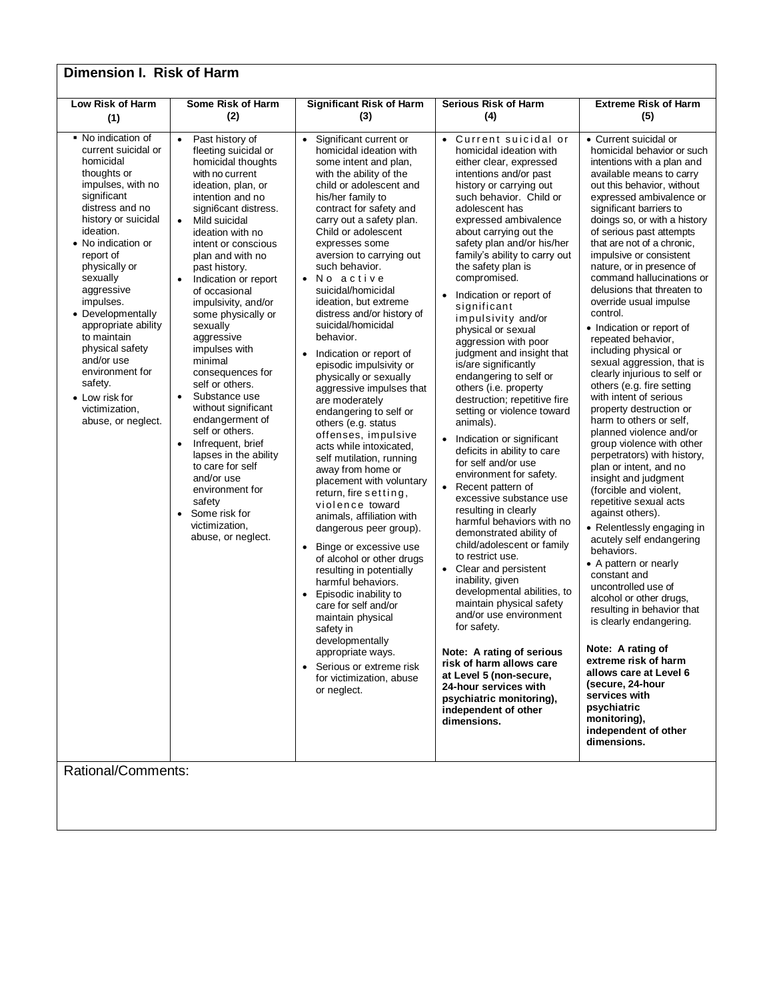| Dimension I. Risk of Harm                                                                                                                                                                                                                                                                                                                                                                                                                                             |                                                                                                                                                                                                                                                                                                                                                                                                                                                                                                                                                                                                                                                                                                                                                |                                                                                                                                                                                                                                                                                                                                                                                                                                                                                                                                                                                                                                                                                                                                                                                                                                                                                                                                                                                                                                                                                                                                                                                                                   |                                                                                                                                                                                                                                                                                                                                                                                                                                                                                                                                                                                                                                                                                                                                                                                                                                                                                                                                                                                                                                                                                                                                                                                                                                                                              |                                                                                                                                                                                                                                                                                                                                                                                                                                                                                                                                                                                                                                                                                                                                                                                                                                                                                                                                                                                                                                                                                                                                                                                                                                                                                                                                             |  |  |
|-----------------------------------------------------------------------------------------------------------------------------------------------------------------------------------------------------------------------------------------------------------------------------------------------------------------------------------------------------------------------------------------------------------------------------------------------------------------------|------------------------------------------------------------------------------------------------------------------------------------------------------------------------------------------------------------------------------------------------------------------------------------------------------------------------------------------------------------------------------------------------------------------------------------------------------------------------------------------------------------------------------------------------------------------------------------------------------------------------------------------------------------------------------------------------------------------------------------------------|-------------------------------------------------------------------------------------------------------------------------------------------------------------------------------------------------------------------------------------------------------------------------------------------------------------------------------------------------------------------------------------------------------------------------------------------------------------------------------------------------------------------------------------------------------------------------------------------------------------------------------------------------------------------------------------------------------------------------------------------------------------------------------------------------------------------------------------------------------------------------------------------------------------------------------------------------------------------------------------------------------------------------------------------------------------------------------------------------------------------------------------------------------------------------------------------------------------------|------------------------------------------------------------------------------------------------------------------------------------------------------------------------------------------------------------------------------------------------------------------------------------------------------------------------------------------------------------------------------------------------------------------------------------------------------------------------------------------------------------------------------------------------------------------------------------------------------------------------------------------------------------------------------------------------------------------------------------------------------------------------------------------------------------------------------------------------------------------------------------------------------------------------------------------------------------------------------------------------------------------------------------------------------------------------------------------------------------------------------------------------------------------------------------------------------------------------------------------------------------------------------|---------------------------------------------------------------------------------------------------------------------------------------------------------------------------------------------------------------------------------------------------------------------------------------------------------------------------------------------------------------------------------------------------------------------------------------------------------------------------------------------------------------------------------------------------------------------------------------------------------------------------------------------------------------------------------------------------------------------------------------------------------------------------------------------------------------------------------------------------------------------------------------------------------------------------------------------------------------------------------------------------------------------------------------------------------------------------------------------------------------------------------------------------------------------------------------------------------------------------------------------------------------------------------------------------------------------------------------------|--|--|
| Low Risk of Harm<br>(1)                                                                                                                                                                                                                                                                                                                                                                                                                                               | Some Risk of Harm<br>(2)                                                                                                                                                                                                                                                                                                                                                                                                                                                                                                                                                                                                                                                                                                                       | <b>Significant Risk of Harm</b><br>(3)                                                                                                                                                                                                                                                                                                                                                                                                                                                                                                                                                                                                                                                                                                                                                                                                                                                                                                                                                                                                                                                                                                                                                                            | <b>Serious Risk of Harm</b><br>(4)                                                                                                                                                                                                                                                                                                                                                                                                                                                                                                                                                                                                                                                                                                                                                                                                                                                                                                                                                                                                                                                                                                                                                                                                                                           | <b>Extreme Risk of Harm</b><br>(5)                                                                                                                                                                                                                                                                                                                                                                                                                                                                                                                                                                                                                                                                                                                                                                                                                                                                                                                                                                                                                                                                                                                                                                                                                                                                                                          |  |  |
| • No indication of<br>current suicidal or<br>homicidal<br>thoughts or<br>impulses, with no<br>significant<br>distress and no<br>history or suicidal<br>ideation.<br>• No indication or<br>report of<br>physically or<br>sexually<br>aggressive<br>impulses.<br>• Developmentally<br>appropriate ability<br>to maintain<br>physical safety<br>and/or use<br>environment for<br>safety.<br>• Low risk for<br>victimization,<br>abuse, or neglect.<br>Rational/Comments: | Past history of<br>$\bullet$<br>fleeting suicidal or<br>homicidal thoughts<br>with no current<br>ideation, plan, or<br>intention and no<br>signi6cant distress.<br>Mild suicidal<br>$\bullet$<br>ideation with no<br>intent or conscious<br>plan and with no<br>past history.<br>Indication or report<br>of occasional<br>impulsivity, and/or<br>some physically or<br>sexually<br>aggressive<br>impulses with<br>minimal<br>consequences for<br>self or others.<br>Substance use<br>$\bullet$<br>without significant<br>endangerment of<br>self or others.<br>Infrequent, brief<br>$\bullet$<br>lapses in the ability<br>to care for self<br>and/or use<br>environment for<br>safety<br>Some risk for<br>victimization.<br>abuse, or neglect. | Significant current or<br>$\bullet$<br>homicidal ideation with<br>some intent and plan,<br>with the ability of the<br>child or adolescent and<br>his/her family to<br>contract for safety and<br>carry out a safety plan.<br>Child or adolescent<br>expresses some<br>aversion to carrying out<br>such behavior.<br>No active<br>$\bullet$<br>suicidal/homicidal<br>ideation, but extreme<br>distress and/or history of<br>suicidal/homicidal<br>behavior.<br>Indication or report of<br>episodic impulsivity or<br>physically or sexually<br>aggressive impulses that<br>are moderately<br>endangering to self or<br>others (e.g. status<br>offenses, impulsive<br>acts while intoxicated,<br>self mutilation, running<br>away from home or<br>placement with voluntary<br>return, fire setting,<br>violence toward<br>animals, affiliation with<br>dangerous peer group).<br>Binge or excessive use<br>$\bullet$<br>of alcohol or other drugs<br>resulting in potentially<br>harmful behaviors.<br>Episodic inability to<br>$\bullet$<br>care for self and/or<br>maintain physical<br>safety in<br>developmentally<br>appropriate ways.<br>• Serious or extreme risk<br>for victimization, abuse<br>or neglect. | • Current suicidal or<br>homicidal ideation with<br>either clear, expressed<br>intentions and/or past<br>history or carrying out<br>such behavior. Child or<br>adolescent has<br>expressed ambivalence<br>about carrying out the<br>safety plan and/or his/her<br>family's ability to carry out<br>the safety plan is<br>compromised.<br>Indication or report of<br>significant<br>impulsivity and/or<br>physical or sexual<br>aggression with poor<br>judgment and insight that<br>is/are significantly<br>endangering to self or<br>others (i.e. property<br>destruction; repetitive fire<br>setting or violence toward<br>animals).<br>• Indication or significant<br>deficits in ability to care<br>for self and/or use<br>environment for safety.<br>• Recent pattern of<br>excessive substance use<br>resulting in clearly<br>harmful behaviors with no<br>demonstrated ability of<br>child/adolescent or family<br>to restrict use.<br>• Clear and persistent<br>inability, given<br>developmental abilities, to<br>maintain physical safety<br>and/or use environment<br>for safety.<br>Note: A rating of serious<br>risk of harm allows care<br>at Level 5 (non-secure,<br>24-hour services with<br>psychiatric monitoring),<br>independent of other<br>dimensions. | • Current suicidal or<br>homicidal behavior or such<br>intentions with a plan and<br>available means to carry<br>out this behavior, without<br>expressed ambivalence or<br>significant barriers to<br>doings so, or with a history<br>of serious past attempts<br>that are not of a chronic,<br>impulsive or consistent<br>nature, or in presence of<br>command hallucinations or<br>delusions that threaten to<br>override usual impulse<br>control.<br>• Indication or report of<br>repeated behavior,<br>including physical or<br>sexual aggression, that is<br>clearly injurious to self or<br>others (e.g. fire setting<br>with intent of serious<br>property destruction or<br>harm to others or self,<br>planned violence and/or<br>group violence with other<br>perpetrators) with history,<br>plan or intent, and no<br>insight and judgment<br>(forcible and violent,<br>repetitive sexual acts<br>against others).<br>• Relentlessly engaging in<br>acutely self endangering<br>behaviors.<br>• A pattern or nearly<br>constant and<br>uncontrolled use of<br>alcohol or other drugs,<br>resulting in behavior that<br>is clearly endangering.<br>Note: A rating of<br>extreme risk of harm<br>allows care at Level 6<br>(secure, 24-hour<br>services with<br>psychiatric<br>monitoring),<br>independent of other<br>dimensions. |  |  |
|                                                                                                                                                                                                                                                                                                                                                                                                                                                                       |                                                                                                                                                                                                                                                                                                                                                                                                                                                                                                                                                                                                                                                                                                                                                |                                                                                                                                                                                                                                                                                                                                                                                                                                                                                                                                                                                                                                                                                                                                                                                                                                                                                                                                                                                                                                                                                                                                                                                                                   |                                                                                                                                                                                                                                                                                                                                                                                                                                                                                                                                                                                                                                                                                                                                                                                                                                                                                                                                                                                                                                                                                                                                                                                                                                                                              |                                                                                                                                                                                                                                                                                                                                                                                                                                                                                                                                                                                                                                                                                                                                                                                                                                                                                                                                                                                                                                                                                                                                                                                                                                                                                                                                             |  |  |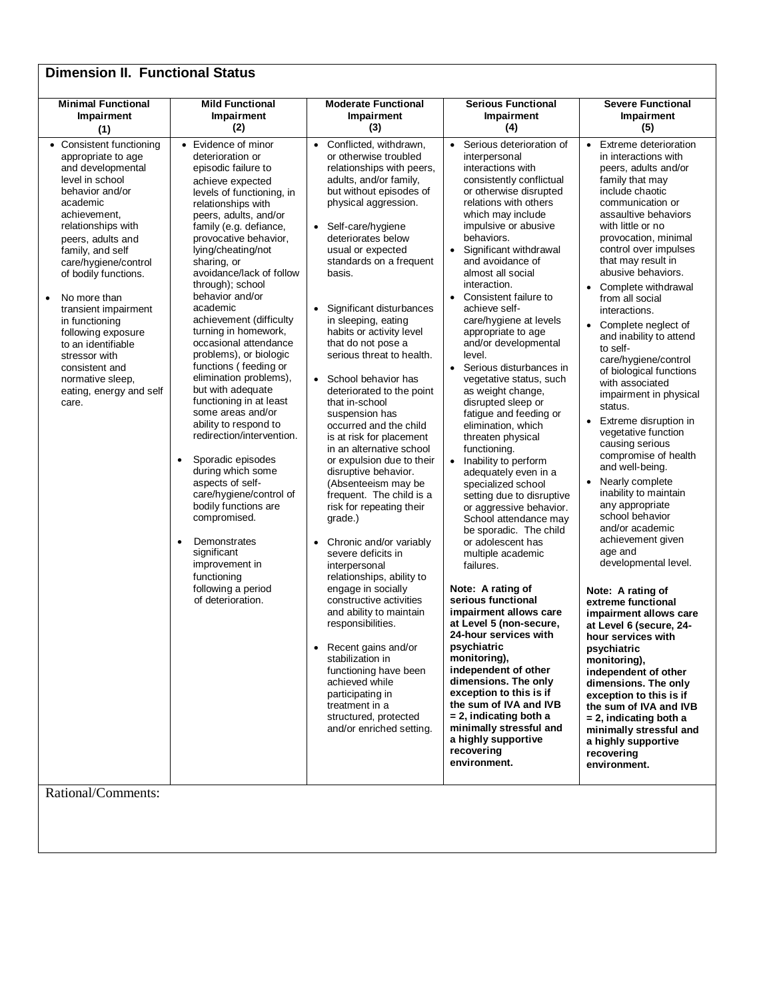| <b>Dimension II. Functional Status</b>                                                                                                                                                                                                                                                                                      |                                                                                                                                                                                                                                                                                                                                                                                                                                                                                                                             |                                                                                                                                                                                                                                                                                                                                                                                                                                                                                                                                                                                                                                                                                                                                                       |                                                                                                                                                                                                                                                                                                                                                                                                                                                                                                                                                                                                                                                                                                                                                     |                                                                                                                                                                                                                                                                                                                                                                                                                                                                                                                                                                                                                                                                                                            |
|-----------------------------------------------------------------------------------------------------------------------------------------------------------------------------------------------------------------------------------------------------------------------------------------------------------------------------|-----------------------------------------------------------------------------------------------------------------------------------------------------------------------------------------------------------------------------------------------------------------------------------------------------------------------------------------------------------------------------------------------------------------------------------------------------------------------------------------------------------------------------|-------------------------------------------------------------------------------------------------------------------------------------------------------------------------------------------------------------------------------------------------------------------------------------------------------------------------------------------------------------------------------------------------------------------------------------------------------------------------------------------------------------------------------------------------------------------------------------------------------------------------------------------------------------------------------------------------------------------------------------------------------|-----------------------------------------------------------------------------------------------------------------------------------------------------------------------------------------------------------------------------------------------------------------------------------------------------------------------------------------------------------------------------------------------------------------------------------------------------------------------------------------------------------------------------------------------------------------------------------------------------------------------------------------------------------------------------------------------------------------------------------------------------|------------------------------------------------------------------------------------------------------------------------------------------------------------------------------------------------------------------------------------------------------------------------------------------------------------------------------------------------------------------------------------------------------------------------------------------------------------------------------------------------------------------------------------------------------------------------------------------------------------------------------------------------------------------------------------------------------------|
| <b>Minimal Functional</b><br>Impairment<br>(1)                                                                                                                                                                                                                                                                              | <b>Mild Functional</b><br>Impairment<br>(2)                                                                                                                                                                                                                                                                                                                                                                                                                                                                                 | <b>Moderate Functional</b><br>Impairment<br>(3)                                                                                                                                                                                                                                                                                                                                                                                                                                                                                                                                                                                                                                                                                                       | <b>Serious Functional</b><br>Impairment<br>(4)                                                                                                                                                                                                                                                                                                                                                                                                                                                                                                                                                                                                                                                                                                      | <b>Severe Functional</b><br>Impairment<br>(5)                                                                                                                                                                                                                                                                                                                                                                                                                                                                                                                                                                                                                                                              |
| • Consistent functioning<br>appropriate to age<br>and developmental<br>level in school<br>behavior and/or<br>academic<br>achievement.<br>relationships with<br>peers, adults and<br>family, and self<br>care/hygiene/control<br>of bodily functions.<br>No more than<br>$\bullet$<br>transient impairment<br>in functioning | • Evidence of minor<br>deterioration or<br>episodic failure to<br>achieve expected<br>levels of functioning, in<br>relationships with<br>peers, adults, and/or<br>family (e.g. defiance,<br>provocative behavior,<br>lying/cheating/not<br>sharing, or<br>avoidance/lack of follow<br>through); school<br>behavior and/or<br>academic<br>achievement (difficulty                                                                                                                                                            | Conflicted, withdrawn,<br>$\bullet$<br>or otherwise troubled<br>relationships with peers,<br>adults, and/or family,<br>but without episodes of<br>physical aggression.<br>Self-care/hygiene<br>$\bullet$<br>deteriorates below<br>usual or expected<br>standards on a frequent<br>basis.<br>Significant disturbances<br>in sleeping, eating                                                                                                                                                                                                                                                                                                                                                                                                           | Serious deterioration of<br>$\bullet$<br>interpersonal<br>interactions with<br>consistently conflictual<br>or otherwise disrupted<br>relations with others<br>which may include<br>impulsive or abusive<br>behaviors.<br>• Significant withdrawal<br>and avoidance of<br>almost all social<br>interaction.<br>• Consistent failure to<br>achieve self-<br>care/hygiene at levels                                                                                                                                                                                                                                                                                                                                                                    | Extreme deterioration<br>$\bullet$<br>in interactions with<br>peers, adults and/or<br>family that may<br>include chaotic<br>communication or<br>assaultive behaviors<br>with little or no<br>provocation, minimal<br>control over impulses<br>that may result in<br>abusive behaviors.<br>Complete withdrawal<br>$\bullet$<br>from all social<br>interactions.                                                                                                                                                                                                                                                                                                                                             |
| following exposure<br>to an identifiable<br>stressor with<br>consistent and<br>normative sleep,<br>eating, energy and self<br>care.                                                                                                                                                                                         | turning in homework,<br>occasional attendance<br>problems), or biologic<br>functions (feeding or<br>elimination problems),<br>but with adequate<br>functioning in at least<br>some areas and/or<br>ability to respond to<br>redirection/intervention.<br>Sporadic episodes<br>$\bullet$<br>during which some<br>aspects of self-<br>care/hygiene/control of<br>bodily functions are<br>compromised.<br>Demonstrates<br>$\bullet$<br>significant<br>improvement in<br>functioning<br>following a period<br>of deterioration. | habits or activity level<br>that do not pose a<br>serious threat to health.<br>School behavior has<br>$\bullet$<br>deteriorated to the point<br>that in-school<br>suspension has<br>occurred and the child<br>is at risk for placement<br>in an alternative school<br>or expulsion due to their<br>disruptive behavior.<br>(Absenteeism may be<br>frequent. The child is a<br>risk for repeating their<br>grade.)<br>Chronic and/or variably<br>$\bullet$<br>severe deficits in<br>interpersonal<br>relationships, ability to<br>engage in socially<br>constructive activities<br>and ability to maintain<br>responsibilities.<br>Recent gains and/or<br>$\bullet$<br>stabilization in<br>functioning have been<br>achieved while<br>participating in | appropriate to age<br>and/or developmental<br>level.<br>• Serious disturbances in<br>vegetative status, such<br>as weight change,<br>disrupted sleep or<br>fatigue and feeding or<br>elimination, which<br>threaten physical<br>functioning.<br>• Inability to perform<br>adequately even in a<br>specialized school<br>setting due to disruptive<br>or aggressive behavior.<br>School attendance may<br>be sporadic. The child<br>or adolescent has<br>multiple academic<br>failures.<br>Note: A rating of<br>serious functional<br>impairment allows care<br>at Level 5 (non-secure,<br>24-hour services with<br>psychiatric<br>monitoring),<br>independent of other<br>dimensions. The only<br>exception to this is if<br>the sum of IVA and IVB | Complete neglect of<br>and inability to attend<br>to self-<br>care/hygiene/control<br>of biological functions<br>with associated<br>impairment in physical<br>status.<br>Extreme disruption in<br>$\bullet$<br>vegetative function<br>causing serious<br>compromise of health<br>and well-being.<br>Nearly complete<br>$\bullet$<br>inability to maintain<br>any appropriate<br>school behavior<br>and/or academic<br>achievement given<br>age and<br>developmental level.<br>Note: A rating of<br>extreme functional<br>impairment allows care<br>at Level 6 (secure, 24-<br>hour services with<br>psychiatric<br>monitoring),<br>independent of other<br>dimensions. The only<br>exception to this is if |
| Rational/Comments:                                                                                                                                                                                                                                                                                                          |                                                                                                                                                                                                                                                                                                                                                                                                                                                                                                                             | treatment in a<br>structured, protected<br>and/or enriched setting.                                                                                                                                                                                                                                                                                                                                                                                                                                                                                                                                                                                                                                                                                   | $= 2$ , indicating both a<br>minimally stressful and<br>a highly supportive<br>recovering<br>environment.                                                                                                                                                                                                                                                                                                                                                                                                                                                                                                                                                                                                                                           | the sum of IVA and IVB<br>$= 2$ , indicating both a<br>minimally stressful and<br>a highly supportive<br>recovering<br>environment.                                                                                                                                                                                                                                                                                                                                                                                                                                                                                                                                                                        |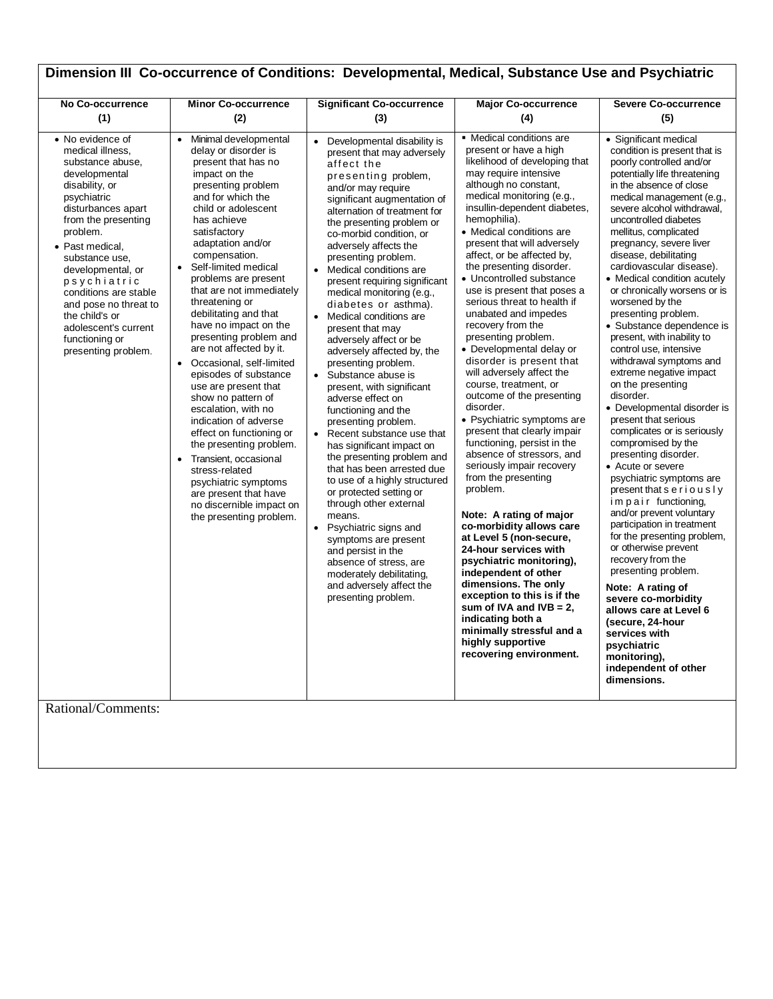| Dimension III Co-occurrence of Conditions: Developmental, Medical, Substance Use and Psychiatric                                                                                                                                                                                                                                                                                                        |                                                                                                                                                                                                                                                                                                                                                                                                                                                                                                                                                                                                                                                                                                                                                                                                                                                    |                                                                                                                                                                                                                                                                                                                                                                                                                                                                                                                                                                                                                                                                                                                                                                                                                                                                                                                                                                                                                                                                                                                                       |                                                                                                                                                                                                                                                                                                                                                                                                                                                                                                                                                                                                                                                                                                                                                                                                                                                                                                                                                                                                                                                                                                                                                                                                              |                                                                                                                                                                                                                                                                                                                                                                                                                                                                                                                                                                                                                                                                                                                                                                                                                                                                                                                                                                                                                                                                                                                                                                                                                     |
|---------------------------------------------------------------------------------------------------------------------------------------------------------------------------------------------------------------------------------------------------------------------------------------------------------------------------------------------------------------------------------------------------------|----------------------------------------------------------------------------------------------------------------------------------------------------------------------------------------------------------------------------------------------------------------------------------------------------------------------------------------------------------------------------------------------------------------------------------------------------------------------------------------------------------------------------------------------------------------------------------------------------------------------------------------------------------------------------------------------------------------------------------------------------------------------------------------------------------------------------------------------------|---------------------------------------------------------------------------------------------------------------------------------------------------------------------------------------------------------------------------------------------------------------------------------------------------------------------------------------------------------------------------------------------------------------------------------------------------------------------------------------------------------------------------------------------------------------------------------------------------------------------------------------------------------------------------------------------------------------------------------------------------------------------------------------------------------------------------------------------------------------------------------------------------------------------------------------------------------------------------------------------------------------------------------------------------------------------------------------------------------------------------------------|--------------------------------------------------------------------------------------------------------------------------------------------------------------------------------------------------------------------------------------------------------------------------------------------------------------------------------------------------------------------------------------------------------------------------------------------------------------------------------------------------------------------------------------------------------------------------------------------------------------------------------------------------------------------------------------------------------------------------------------------------------------------------------------------------------------------------------------------------------------------------------------------------------------------------------------------------------------------------------------------------------------------------------------------------------------------------------------------------------------------------------------------------------------------------------------------------------------|---------------------------------------------------------------------------------------------------------------------------------------------------------------------------------------------------------------------------------------------------------------------------------------------------------------------------------------------------------------------------------------------------------------------------------------------------------------------------------------------------------------------------------------------------------------------------------------------------------------------------------------------------------------------------------------------------------------------------------------------------------------------------------------------------------------------------------------------------------------------------------------------------------------------------------------------------------------------------------------------------------------------------------------------------------------------------------------------------------------------------------------------------------------------------------------------------------------------|
| No Co-occurrence<br>(1)                                                                                                                                                                                                                                                                                                                                                                                 | <b>Minor Co-occurrence</b><br>(2)                                                                                                                                                                                                                                                                                                                                                                                                                                                                                                                                                                                                                                                                                                                                                                                                                  | <b>Significant Co-occurrence</b><br>(3)                                                                                                                                                                                                                                                                                                                                                                                                                                                                                                                                                                                                                                                                                                                                                                                                                                                                                                                                                                                                                                                                                               | <b>Major Co-occurrence</b><br>(4)                                                                                                                                                                                                                                                                                                                                                                                                                                                                                                                                                                                                                                                                                                                                                                                                                                                                                                                                                                                                                                                                                                                                                                            | <b>Severe Co-occurrence</b><br>(5)                                                                                                                                                                                                                                                                                                                                                                                                                                                                                                                                                                                                                                                                                                                                                                                                                                                                                                                                                                                                                                                                                                                                                                                  |
| • No evidence of<br>medical illness,<br>substance abuse,<br>developmental<br>disability, or<br>psychiatric<br>disturbances apart<br>from the presenting<br>problem.<br>• Past medical,<br>substance use,<br>developmental, or<br>psychiatric<br>conditions are stable<br>and pose no threat to<br>the child's or<br>adolescent's current<br>functioning or<br>presenting problem.<br>Rational/Comments: | Minimal developmental<br>$\bullet$<br>delay or disorder is<br>present that has no<br>impact on the<br>presenting problem<br>and for which the<br>child or adolescent<br>has achieve<br>satisfactory<br>adaptation and/or<br>compensation.<br>Self-limited medical<br>$\bullet$<br>problems are present<br>that are not immediately<br>threatening or<br>debilitating and that<br>have no impact on the<br>presenting problem and<br>are not affected by it.<br>Occasional, self-limited<br>$\bullet$<br>episodes of substance<br>use are present that<br>show no pattern of<br>escalation, with no<br>indication of adverse<br>effect on functioning or<br>the presenting problem.<br>Transient, occasional<br>$\bullet$<br>stress-related<br>psychiatric symptoms<br>are present that have<br>no discernible impact on<br>the presenting problem. | Developmental disability is<br>$\bullet$<br>present that may adversely<br>affect the<br>presenting problem,<br>and/or may require<br>significant augmentation of<br>alternation of treatment for<br>the presenting problem or<br>co-morbid condition, or<br>adversely affects the<br>presenting problem.<br>Medical conditions are<br>$\bullet$<br>present requiring significant<br>medical monitoring (e.g.,<br>diabetes or asthma).<br>Medical conditions are<br>$\bullet$<br>present that may<br>adversely affect or be<br>adversely affected by, the<br>presenting problem.<br>Substance abuse is<br>$\bullet$<br>present, with significant<br>adverse effect on<br>functioning and the<br>presenting problem.<br>Recent substance use that<br>$\bullet$<br>has significant impact on<br>the presenting problem and<br>that has been arrested due<br>to use of a highly structured<br>or protected setting or<br>through other external<br>means.<br>Psychiatric signs and<br>symptoms are present<br>and persist in the<br>absence of stress, are<br>moderately debilitating,<br>and adversely affect the<br>presenting problem. | • Medical conditions are<br>present or have a high<br>likelihood of developing that<br>may require intensive<br>although no constant,<br>medical monitoring (e.g.,<br>insullin-dependent diabetes,<br>hemophilia).<br>• Medical conditions are<br>present that will adversely<br>affect, or be affected by,<br>the presenting disorder.<br>• Uncontrolled substance<br>use is present that poses a<br>serious threat to health if<br>unabated and impedes<br>recovery from the<br>presenting problem.<br>• Developmental delay or<br>disorder is present that<br>will adversely affect the<br>course, treatment, or<br>outcome of the presenting<br>disorder.<br>• Psychiatric symptoms are<br>present that clearly impair<br>functioning, persist in the<br>absence of stressors, and<br>seriously impair recovery<br>from the presenting<br>problem.<br>Note: A rating of major<br>co-morbidity allows care<br>at Level 5 (non-secure,<br>24-hour services with<br>psychiatric monitoring),<br>independent of other<br>dimensions. The only<br>exception to this is if the<br>sum of IVA and IVB = $2$ ,<br>indicating both a<br>minimally stressful and a<br>highly supportive<br>recovering environment. | • Significant medical<br>condition is present that is<br>poorly controlled and/or<br>potentially life threatening<br>in the absence of close<br>medical management (e.g.,<br>severe alcohol withdrawal,<br>uncontrolled diabetes<br>mellitus, complicated<br>pregnancy, severe liver<br>disease, debilitating<br>cardiovascular disease).<br>• Medical condition acutely<br>or chronically worsens or is<br>worsened by the<br>presenting problem.<br>· Substance dependence is<br>present, with inability to<br>control use, intensive<br>withdrawal symptoms and<br>extreme negative impact<br>on the presenting<br>disorder.<br>• Developmental disorder is<br>present that serious<br>complicates or is seriously<br>compromised by the<br>presenting disorder.<br>• Acute or severe<br>psychiatric symptoms are<br>present that seriously<br>impair functioning,<br>and/or prevent voluntary<br>participation in treatment<br>for the presenting problem,<br>or otherwise prevent<br>recovery from the<br>presenting problem.<br>Note: A rating of<br>severe co-morbidity<br>allows care at Level 6<br>(secure, 24-hour<br>services with<br>psychiatric<br>monitoring),<br>independent of other<br>dimensions. |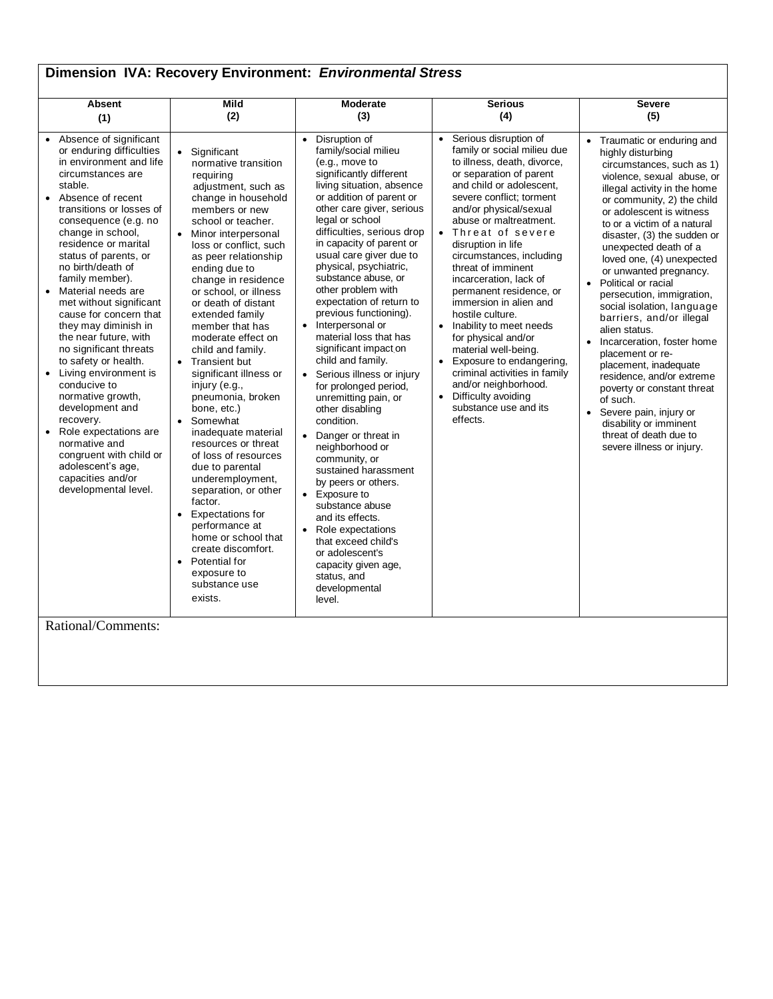| Dimension IVA: Recovery Environment: Environmental Stress                                                                                                                                                                                                                                                                                                                                                                                                                                                                                                                                                                                                                                                                                               |                                                                                                                                                                                                                                                                                                                                                                                                                                                                                                                                                                                                                                                                                                                                                                                                                                                                                          |                                                                                                                                                                                                                                                                                                                                                                                                                                                                                                                                                                                                                                                                                                                                                                                                                                                                                                                                                                                  |                                                                                                                                                                                                                                                                                                                                                                                                                                                                                                                                                                                                                                                                                               |                                                                                                                                                                                                                                                                                                                                                                                                                                                                                                                                                                                                                                                                                                                                                                                        |  |
|---------------------------------------------------------------------------------------------------------------------------------------------------------------------------------------------------------------------------------------------------------------------------------------------------------------------------------------------------------------------------------------------------------------------------------------------------------------------------------------------------------------------------------------------------------------------------------------------------------------------------------------------------------------------------------------------------------------------------------------------------------|------------------------------------------------------------------------------------------------------------------------------------------------------------------------------------------------------------------------------------------------------------------------------------------------------------------------------------------------------------------------------------------------------------------------------------------------------------------------------------------------------------------------------------------------------------------------------------------------------------------------------------------------------------------------------------------------------------------------------------------------------------------------------------------------------------------------------------------------------------------------------------------|----------------------------------------------------------------------------------------------------------------------------------------------------------------------------------------------------------------------------------------------------------------------------------------------------------------------------------------------------------------------------------------------------------------------------------------------------------------------------------------------------------------------------------------------------------------------------------------------------------------------------------------------------------------------------------------------------------------------------------------------------------------------------------------------------------------------------------------------------------------------------------------------------------------------------------------------------------------------------------|-----------------------------------------------------------------------------------------------------------------------------------------------------------------------------------------------------------------------------------------------------------------------------------------------------------------------------------------------------------------------------------------------------------------------------------------------------------------------------------------------------------------------------------------------------------------------------------------------------------------------------------------------------------------------------------------------|----------------------------------------------------------------------------------------------------------------------------------------------------------------------------------------------------------------------------------------------------------------------------------------------------------------------------------------------------------------------------------------------------------------------------------------------------------------------------------------------------------------------------------------------------------------------------------------------------------------------------------------------------------------------------------------------------------------------------------------------------------------------------------------|--|
| <b>Absent</b><br>(1)                                                                                                                                                                                                                                                                                                                                                                                                                                                                                                                                                                                                                                                                                                                                    | <b>Mild</b><br>(2)                                                                                                                                                                                                                                                                                                                                                                                                                                                                                                                                                                                                                                                                                                                                                                                                                                                                       | <b>Moderate</b><br>(3)                                                                                                                                                                                                                                                                                                                                                                                                                                                                                                                                                                                                                                                                                                                                                                                                                                                                                                                                                           | <b>Serious</b><br>(4)                                                                                                                                                                                                                                                                                                                                                                                                                                                                                                                                                                                                                                                                         | <b>Severe</b><br>(5)                                                                                                                                                                                                                                                                                                                                                                                                                                                                                                                                                                                                                                                                                                                                                                   |  |
| • Absence of significant<br>or enduring difficulties<br>in environment and life<br>circumstances are<br>stable.<br>• Absence of recent<br>transitions or losses of<br>consequence (e.g. no<br>change in school,<br>residence or marital<br>status of parents, or<br>no birth/death of<br>family member).<br>• Material needs are<br>met without significant<br>cause for concern that<br>they may diminish in<br>the near future, with<br>no significant threats<br>to safety or health.<br>• Living environment is<br>conducive to<br>normative growth,<br>development and<br>recovery.<br>• Role expectations are<br>normative and<br>congruent with child or<br>adolescent's age,<br>capacities and/or<br>developmental level.<br>Rational/Comments: | Significant<br>$\bullet$<br>normative transition<br>requiring<br>adjustment, such as<br>change in household<br>members or new<br>school or teacher.<br>Minor interpersonal<br>$\bullet$<br>loss or conflict, such<br>as peer relationship<br>ending due to<br>change in residence<br>or school, or illness<br>or death of distant<br>extended family<br>member that has<br>moderate effect on<br>child and family.<br><b>Transient but</b><br>$\bullet$<br>significant illness or<br>injury (e.g.,<br>pneumonia, broken<br>bone, etc.)<br>Somewhat<br>$\bullet$<br>inadequate material<br>resources or threat<br>of loss of resources<br>due to parental<br>underemployment,<br>separation, or other<br>factor.<br>Expectations for<br>$\bullet$<br>performance at<br>home or school that<br>create discomfort.<br>Potential for<br>$\bullet$<br>exposure to<br>substance use<br>exists. | Disruption of<br>$\bullet$<br>family/social milieu<br>(e.g., move to<br>significantly different<br>living situation, absence<br>or addition of parent or<br>other care giver, serious<br>legal or school<br>difficulties, serious drop<br>in capacity of parent or<br>usual care giver due to<br>physical, psychiatric,<br>substance abuse, or<br>other problem with<br>expectation of return to<br>previous functioning).<br>Interpersonal or<br>$\bullet$<br>material loss that has<br>significant impact on<br>child and family.<br>• Serious illness or injury<br>for prolonged period,<br>unremitting pain, or<br>other disabling<br>condition.<br>Danger or threat in<br>$\bullet$<br>neighborhood or<br>community, or<br>sustained harassment<br>by peers or others.<br>• Exposure to<br>substance abuse<br>and its effects.<br>Role expectations<br>$\bullet$<br>that exceed child's<br>or adolescent's<br>capacity given age,<br>status, and<br>developmental<br>level. | Serious disruption of<br>$\bullet$<br>family or social milieu due<br>to illness, death, divorce,<br>or separation of parent<br>and child or adolescent,<br>severe conflict; torment<br>and/or physical/sexual<br>abuse or maltreatment.<br>• Threat of severe<br>disruption in life<br>circumstances, including<br>threat of imminent<br>incarceration, lack of<br>permanent residence, or<br>immersion in alien and<br>hostile culture.<br>Inability to meet needs<br>$\bullet$<br>for physical and/or<br>material well-being.<br>Exposure to endangering,<br>criminal activities in family<br>and/or neighborhood.<br>Difficulty avoiding<br>$\bullet$<br>substance use and its<br>effects. | Traumatic or enduring and<br>$\bullet$<br>highly disturbing<br>circumstances, such as 1)<br>violence, sexual abuse, or<br>illegal activity in the home<br>or community, 2) the child<br>or adolescent is witness<br>to or a victim of a natural<br>disaster, (3) the sudden or<br>unexpected death of a<br>loved one, (4) unexpected<br>or unwanted pregnancy.<br>Political or racial<br>$\bullet$<br>persecution, immigration,<br>social isolation, language<br>barriers, and/or illegal<br>alien status.<br>Incarceration, foster home<br>$\bullet$<br>placement or re-<br>placement, inadequate<br>residence, and/or extreme<br>poverty or constant threat<br>of such.<br>• Severe pain, injury or<br>disability or imminent<br>threat of death due to<br>severe illness or injury. |  |
|                                                                                                                                                                                                                                                                                                                                                                                                                                                                                                                                                                                                                                                                                                                                                         |                                                                                                                                                                                                                                                                                                                                                                                                                                                                                                                                                                                                                                                                                                                                                                                                                                                                                          |                                                                                                                                                                                                                                                                                                                                                                                                                                                                                                                                                                                                                                                                                                                                                                                                                                                                                                                                                                                  |                                                                                                                                                                                                                                                                                                                                                                                                                                                                                                                                                                                                                                                                                               |                                                                                                                                                                                                                                                                                                                                                                                                                                                                                                                                                                                                                                                                                                                                                                                        |  |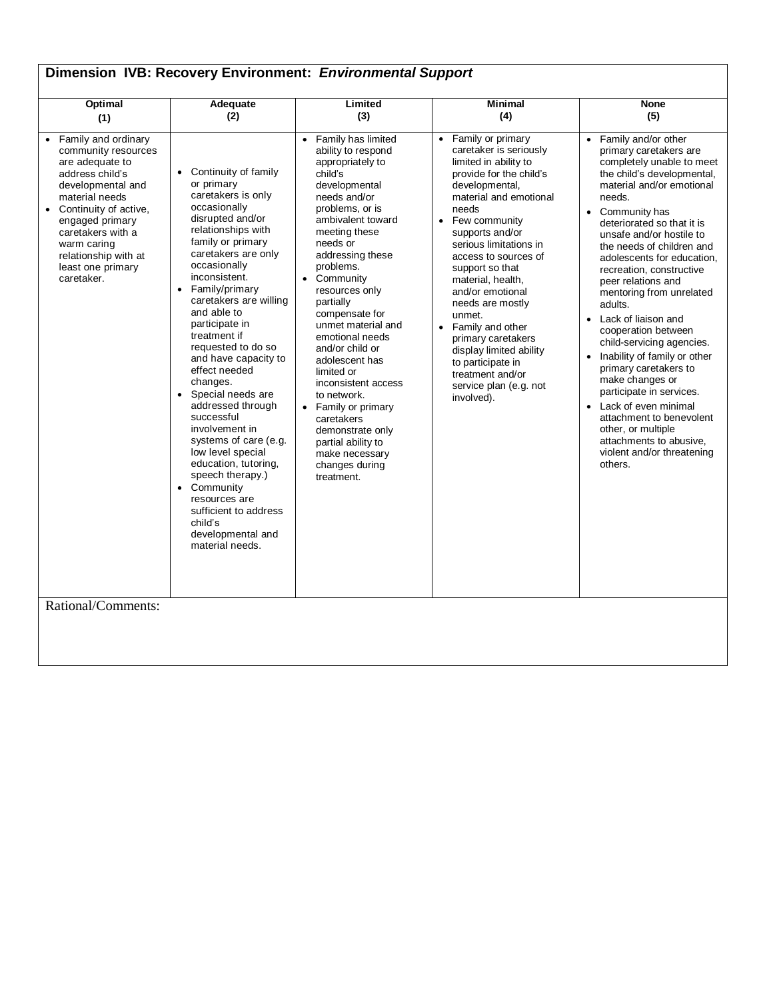| Dimension IVB: Recovery Environment: Environmental Support                                                                                                                                                                                                                                              |                                                                                                                                                                                                                                                                                                                                                                                                                                                                                                                                                                                                                                                                          |                                                                                                                                                                                                                                                                                                                                                                                                                                                                                                                                                     |                                                                                                                                                                                                                                                                                                                                                                                                                                                                                                         |                                                                                                                                                                                                                                                                                                                                                                                                                                                                                                                                                                                                                                                                                                                              |  |
|---------------------------------------------------------------------------------------------------------------------------------------------------------------------------------------------------------------------------------------------------------------------------------------------------------|--------------------------------------------------------------------------------------------------------------------------------------------------------------------------------------------------------------------------------------------------------------------------------------------------------------------------------------------------------------------------------------------------------------------------------------------------------------------------------------------------------------------------------------------------------------------------------------------------------------------------------------------------------------------------|-----------------------------------------------------------------------------------------------------------------------------------------------------------------------------------------------------------------------------------------------------------------------------------------------------------------------------------------------------------------------------------------------------------------------------------------------------------------------------------------------------------------------------------------------------|---------------------------------------------------------------------------------------------------------------------------------------------------------------------------------------------------------------------------------------------------------------------------------------------------------------------------------------------------------------------------------------------------------------------------------------------------------------------------------------------------------|------------------------------------------------------------------------------------------------------------------------------------------------------------------------------------------------------------------------------------------------------------------------------------------------------------------------------------------------------------------------------------------------------------------------------------------------------------------------------------------------------------------------------------------------------------------------------------------------------------------------------------------------------------------------------------------------------------------------------|--|
| <b>Optimal</b><br>(1)                                                                                                                                                                                                                                                                                   | Adequate<br>(2)                                                                                                                                                                                                                                                                                                                                                                                                                                                                                                                                                                                                                                                          | Limited<br>(3)                                                                                                                                                                                                                                                                                                                                                                                                                                                                                                                                      | <b>Minimal</b><br>(4)                                                                                                                                                                                                                                                                                                                                                                                                                                                                                   | <b>None</b><br>(5)                                                                                                                                                                                                                                                                                                                                                                                                                                                                                                                                                                                                                                                                                                           |  |
| • Family and ordinary<br>community resources<br>are adequate to<br>address child's<br>developmental and<br>material needs<br>Continuity of active,<br>$\bullet$<br>engaged primary<br>caretakers with a<br>warm caring<br>relationship with at<br>least one primary<br>caretaker.<br>Rational/Comments: | • Continuity of family<br>or primary<br>caretakers is only<br>occasionally<br>disrupted and/or<br>relationships with<br>family or primary<br>caretakers are only<br>occasionally<br>inconsistent.<br>Family/primary<br>$\bullet$<br>caretakers are willing<br>and able to<br>participate in<br>treatment if<br>requested to do so<br>and have capacity to<br>effect needed<br>changes.<br>• Special needs are<br>addressed through<br>successful<br>involvement in<br>systems of care (e.g.<br>low level special<br>education, tutoring,<br>speech therapy.)<br>• Community<br>resources are<br>sufficient to address<br>child's<br>developmental and<br>material needs. | • Family has limited<br>ability to respond<br>appropriately to<br>child's<br>developmental<br>needs and/or<br>problems, or is<br>ambivalent toward<br>meeting these<br>needs or<br>addressing these<br>problems.<br>• Community<br>resources only<br>partially<br>compensate for<br>unmet material and<br>emotional needs<br>and/or child or<br>adolescent has<br>limited or<br>inconsistent access<br>to network.<br>• Family or primary<br>caretakers<br>demonstrate only<br>partial ability to<br>make necessary<br>changes during<br>treatment. | Family or primary<br>caretaker is seriously<br>limited in ability to<br>provide for the child's<br>developmental,<br>material and emotional<br>needs<br>Few community<br>supports and/or<br>serious limitations in<br>access to sources of<br>support so that<br>material, health,<br>and/or emotional<br>needs are mostly<br>unmet.<br>Family and other<br>$\bullet$<br>primary caretakers<br>display limited ability<br>to participate in<br>treatment and/or<br>service plan (e.g. not<br>involved). | Family and/or other<br>primary caretakers are<br>completely unable to meet<br>the child's developmental,<br>material and/or emotional<br>needs.<br>Community has<br>deteriorated so that it is<br>unsafe and/or hostile to<br>the needs of children and<br>adolescents for education,<br>recreation, constructive<br>peer relations and<br>mentoring from unrelated<br>adults.<br>Lack of liaison and<br>$\bullet$<br>cooperation between<br>child-servicing agencies.<br>Inability of family or other<br>primary caretakers to<br>make changes or<br>participate in services.<br>Lack of even minimal<br>attachment to benevolent<br>other, or multiple<br>attachments to abusive,<br>violent and/or threatening<br>others. |  |
|                                                                                                                                                                                                                                                                                                         |                                                                                                                                                                                                                                                                                                                                                                                                                                                                                                                                                                                                                                                                          |                                                                                                                                                                                                                                                                                                                                                                                                                                                                                                                                                     |                                                                                                                                                                                                                                                                                                                                                                                                                                                                                                         |                                                                                                                                                                                                                                                                                                                                                                                                                                                                                                                                                                                                                                                                                                                              |  |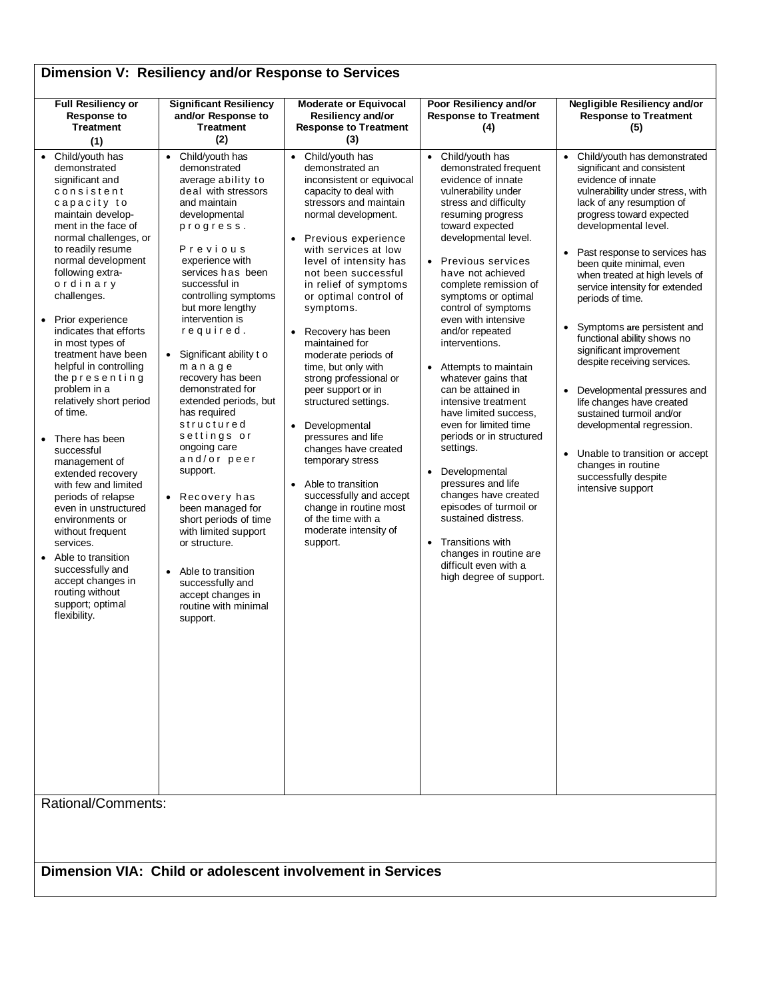| Dimension V: Resiliency and/or Response to Services                                                                                                                                                                                                                                                                                                                                                                                                                                                                                                                                                                                                                                                                                                                                     |                                                                                                                                                                                                                                                                                                                                                                                                                                                                                                                                                                                                                                                                                                                                         |                                                                                                                                                                                                                                                                                                                                                                                                                                                                                                                                                                                                                                                                                                                   |                                                                                                                                                                                                                                                                                                                                                                                                                                                                                                                                                                                                                                                                                                                                                                                                |                                                                                                                                                                                                                                                                                                                                                                                                                                                                                                                                                                                                                                                                                                                                                                    |  |
|-----------------------------------------------------------------------------------------------------------------------------------------------------------------------------------------------------------------------------------------------------------------------------------------------------------------------------------------------------------------------------------------------------------------------------------------------------------------------------------------------------------------------------------------------------------------------------------------------------------------------------------------------------------------------------------------------------------------------------------------------------------------------------------------|-----------------------------------------------------------------------------------------------------------------------------------------------------------------------------------------------------------------------------------------------------------------------------------------------------------------------------------------------------------------------------------------------------------------------------------------------------------------------------------------------------------------------------------------------------------------------------------------------------------------------------------------------------------------------------------------------------------------------------------------|-------------------------------------------------------------------------------------------------------------------------------------------------------------------------------------------------------------------------------------------------------------------------------------------------------------------------------------------------------------------------------------------------------------------------------------------------------------------------------------------------------------------------------------------------------------------------------------------------------------------------------------------------------------------------------------------------------------------|------------------------------------------------------------------------------------------------------------------------------------------------------------------------------------------------------------------------------------------------------------------------------------------------------------------------------------------------------------------------------------------------------------------------------------------------------------------------------------------------------------------------------------------------------------------------------------------------------------------------------------------------------------------------------------------------------------------------------------------------------------------------------------------------|--------------------------------------------------------------------------------------------------------------------------------------------------------------------------------------------------------------------------------------------------------------------------------------------------------------------------------------------------------------------------------------------------------------------------------------------------------------------------------------------------------------------------------------------------------------------------------------------------------------------------------------------------------------------------------------------------------------------------------------------------------------------|--|
| <b>Full Resiliency or</b><br><b>Response to</b><br><b>Treatment</b><br>(1)                                                                                                                                                                                                                                                                                                                                                                                                                                                                                                                                                                                                                                                                                                              | <b>Significant Resiliency</b><br>and/or Response to<br><b>Treatment</b><br>(2)                                                                                                                                                                                                                                                                                                                                                                                                                                                                                                                                                                                                                                                          | <b>Moderate or Equivocal</b><br>Resiliency and/or<br><b>Response to Treatment</b><br>(3)                                                                                                                                                                                                                                                                                                                                                                                                                                                                                                                                                                                                                          | Poor Resiliency and/or<br><b>Response to Treatment</b><br>(4)                                                                                                                                                                                                                                                                                                                                                                                                                                                                                                                                                                                                                                                                                                                                  | Negligible Resiliency and/or<br><b>Response to Treatment</b><br>(5)                                                                                                                                                                                                                                                                                                                                                                                                                                                                                                                                                                                                                                                                                                |  |
| • Child/youth has<br>demonstrated<br>significant and<br>consistent<br>capacity to<br>maintain develop-<br>ment in the face of<br>normal challenges, or<br>to readily resume<br>normal development<br>following extra-<br>ordinary<br>challenges.<br>Prior experience<br>indicates that efforts<br>in most types of<br>treatment have been<br>helpful in controlling<br>thepresenting<br>problem in a<br>relatively short period<br>of time.<br>There has been<br>successful<br>management of<br>extended recovery<br>with few and limited<br>periods of relapse<br>even in unstructured<br>environments or<br>without frequent<br>services.<br>Able to transition<br>successfully and<br>accept changes in<br>routing without<br>support; optimal<br>flexibility.<br>Rational/Comments: | Child/youth has<br>$\bullet$<br>demonstrated<br>average ability to<br>deal with stressors<br>and maintain<br>developmental<br>progress.<br>Previous<br>experience with<br>services has been<br>successful in<br>controlling symptoms<br>but more lengthy<br>intervention is<br>required.<br>Significant ability t o<br>$\bullet$<br>manage<br>recovery has been<br>demonstrated for<br>extended periods, but<br>has required<br>structured<br>settings or<br>ongoing care<br>and/or peer<br>support.<br>Recovery has<br>$\bullet$<br>been managed for<br>short periods of time<br>with limited support<br>or structure.<br>Able to transition<br>$\bullet$<br>successfully and<br>accept changes in<br>routine with minimal<br>support. | • Child/youth has<br>demonstrated an<br>inconsistent or equivocal<br>capacity to deal with<br>stressors and maintain<br>normal development.<br>Previous experience<br>with services at low<br>level of intensity has<br>not been successful<br>in relief of symptoms<br>or optimal control of<br>symptoms.<br>• Recovery has been<br>maintained for<br>moderate periods of<br>time, but only with<br>strong professional or<br>peer support or in<br>structured settings.<br>Developmental<br>$\bullet$<br>pressures and life<br>changes have created<br>temporary stress<br>• Able to transition<br>successfully and accept<br>change in routine most<br>of the time with a<br>moderate intensity of<br>support. | Child/youth has<br>$\bullet$<br>demonstrated frequent<br>evidence of innate<br>vulnerability under<br>stress and difficulty<br>resuming progress<br>toward expected<br>developmental level.<br>Previous services<br>have not achieved<br>complete remission of<br>symptoms or optimal<br>control of symptoms<br>even with intensive<br>and/or repeated<br>interventions.<br>Attempts to maintain<br>whatever gains that<br>can be attained in<br>intensive treatment<br>have limited success,<br>even for limited time<br>periods or in structured<br>settings.<br>Developmental<br>$\bullet$<br>pressures and life<br>changes have created<br>episodes of turmoil or<br>sustained distress.<br>Transitions with<br>changes in routine are<br>difficult even with a<br>high degree of support. | Child/youth has demonstrated<br>$\bullet$<br>significant and consistent<br>evidence of innate<br>vulnerability under stress, with<br>lack of any resumption of<br>progress toward expected<br>developmental level.<br>Past response to services has<br>$\bullet$<br>been quite minimal, even<br>when treated at high levels of<br>service intensity for extended<br>periods of time.<br>Symptoms are persistent and<br>$\bullet$<br>functional ability shows no<br>significant improvement<br>despite receiving services.<br>Developmental pressures and<br>$\bullet$<br>life changes have created<br>sustained turmoil and/or<br>developmental regression.<br>• Unable to transition or accept<br>changes in routine<br>successfully despite<br>intensive support |  |
|                                                                                                                                                                                                                                                                                                                                                                                                                                                                                                                                                                                                                                                                                                                                                                                         |                                                                                                                                                                                                                                                                                                                                                                                                                                                                                                                                                                                                                                                                                                                                         | Dimension VIA: Child or adolescent involvement in Services                                                                                                                                                                                                                                                                                                                                                                                                                                                                                                                                                                                                                                                        |                                                                                                                                                                                                                                                                                                                                                                                                                                                                                                                                                                                                                                                                                                                                                                                                |                                                                                                                                                                                                                                                                                                                                                                                                                                                                                                                                                                                                                                                                                                                                                                    |  |
|                                                                                                                                                                                                                                                                                                                                                                                                                                                                                                                                                                                                                                                                                                                                                                                         |                                                                                                                                                                                                                                                                                                                                                                                                                                                                                                                                                                                                                                                                                                                                         |                                                                                                                                                                                                                                                                                                                                                                                                                                                                                                                                                                                                                                                                                                                   |                                                                                                                                                                                                                                                                                                                                                                                                                                                                                                                                                                                                                                                                                                                                                                                                |                                                                                                                                                                                                                                                                                                                                                                                                                                                                                                                                                                                                                                                                                                                                                                    |  |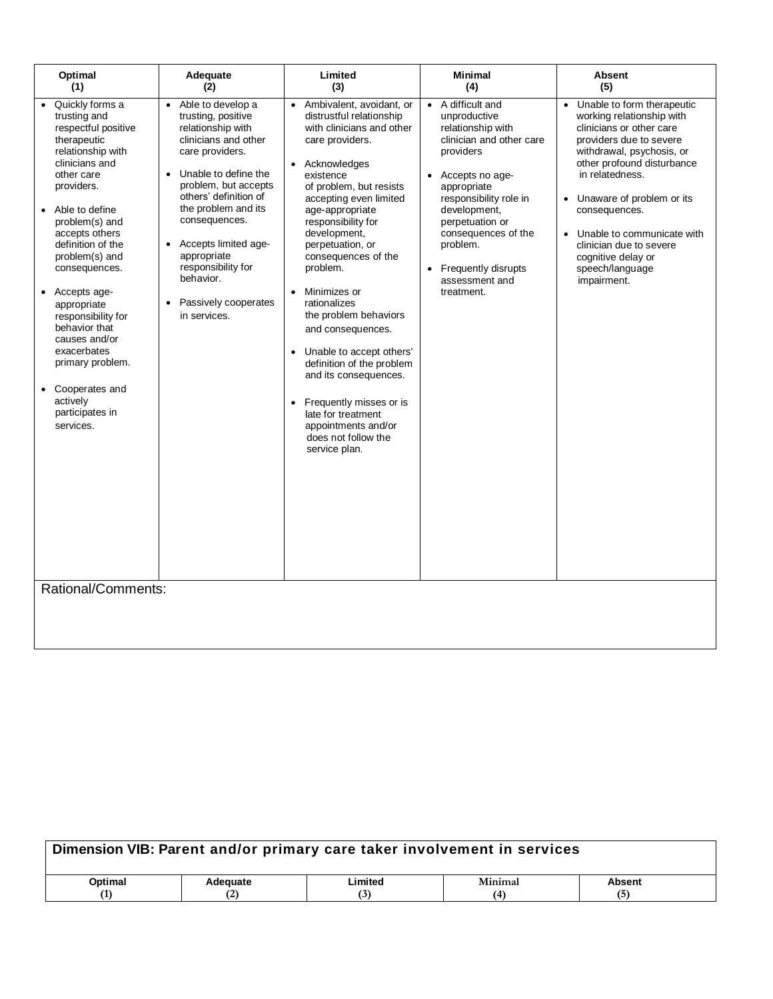| Optimal<br>(1)                                                                                                                                                                                                                                                                                                                                                                                                                                                           | Adequate<br>(2)                                                                                                                                                                                                                                                                                                                                                                                | Limited<br>(3)                                                                                                                                                                                                                                                                                                                                                                                                                                                                                                                                                                                                     | Minimal<br>(4)                                                                                                                                                                                                                                                                                                                | <b>Absent</b><br>(5)                                                                                                                                                                                                                                                                                                                                                                    |
|--------------------------------------------------------------------------------------------------------------------------------------------------------------------------------------------------------------------------------------------------------------------------------------------------------------------------------------------------------------------------------------------------------------------------------------------------------------------------|------------------------------------------------------------------------------------------------------------------------------------------------------------------------------------------------------------------------------------------------------------------------------------------------------------------------------------------------------------------------------------------------|--------------------------------------------------------------------------------------------------------------------------------------------------------------------------------------------------------------------------------------------------------------------------------------------------------------------------------------------------------------------------------------------------------------------------------------------------------------------------------------------------------------------------------------------------------------------------------------------------------------------|-------------------------------------------------------------------------------------------------------------------------------------------------------------------------------------------------------------------------------------------------------------------------------------------------------------------------------|-----------------------------------------------------------------------------------------------------------------------------------------------------------------------------------------------------------------------------------------------------------------------------------------------------------------------------------------------------------------------------------------|
| Quickly forms a<br>trusting and<br>respectful positive<br>therapeutic<br>relationship with<br>clinicians and<br>other care<br>providers.<br>Able to define<br>problem(s) and<br>accepts others<br>definition of the<br>problem(s) and<br>consequences.<br>• Accepts age-<br>appropriate<br>responsibility for<br>behavior that<br>causes and/or<br>exacerbates<br>primary problem.<br>• Cooperates and<br>actively<br>participates in<br>services.<br>Rational/Comments: | Able to develop a<br>$\bullet$<br>trusting, positive<br>relationship with<br>clinicians and other<br>care providers.<br>Unable to define the<br>$\bullet$<br>problem, but accepts<br>others' definition of<br>the problem and its<br>consequences.<br>Accepts limited age-<br>$\bullet$<br>appropriate<br>responsibility for<br>behavior.<br>Passively cooperates<br>$\bullet$<br>in services. | Ambivalent, avoidant, or<br>$\bullet$<br>distrustful relationship<br>with clinicians and other<br>care providers.<br>Acknowledges<br>existence<br>of problem, but resists<br>accepting even limited<br>age-appropriate<br>responsibility for<br>development,<br>perpetuation, or<br>consequences of the<br>problem.<br>Minimizes or<br>rationalizes<br>the problem behaviors<br>and consequences.<br>• Unable to accept others'<br>definition of the problem<br>and its consequences.<br>Frequently misses or is<br>$\bullet$<br>late for treatment<br>appointments and/or<br>does not follow the<br>service plan. | A difficult and<br>$\bullet$<br>unproductive<br>relationship with<br>clinician and other care<br>providers<br>Accepts no age-<br>$\bullet$<br>appropriate<br>responsibility role in<br>development,<br>perpetuation or<br>consequences of the<br>problem.<br>Frequently disrupts<br>$\bullet$<br>assessment and<br>treatment. | Unable to form therapeutic<br>$\bullet$<br>working relationship with<br>clinicians or other care<br>providers due to severe<br>withdrawal, psychosis, or<br>other profound disturbance<br>in relatedness.<br>• Unaware of problem or its<br>consequences.<br>Unable to communicate with<br>$\bullet$<br>clinician due to severe<br>cognitive delay or<br>speech/language<br>impairment. |
|                                                                                                                                                                                                                                                                                                                                                                                                                                                                          |                                                                                                                                                                                                                                                                                                                                                                                                |                                                                                                                                                                                                                                                                                                                                                                                                                                                                                                                                                                                                                    |                                                                                                                                                                                                                                                                                                                               |                                                                                                                                                                                                                                                                                                                                                                                         |

| Dimension VIB: Parent and/or primary care taker involvement in services |          |         |              |               |
|-------------------------------------------------------------------------|----------|---------|--------------|---------------|
| Optimal                                                                 | Adequate | Limited | Minimal      | <b>Absent</b> |
| (1)                                                                     |          | (3)     | $\mathbf{A}$ | (5)           |